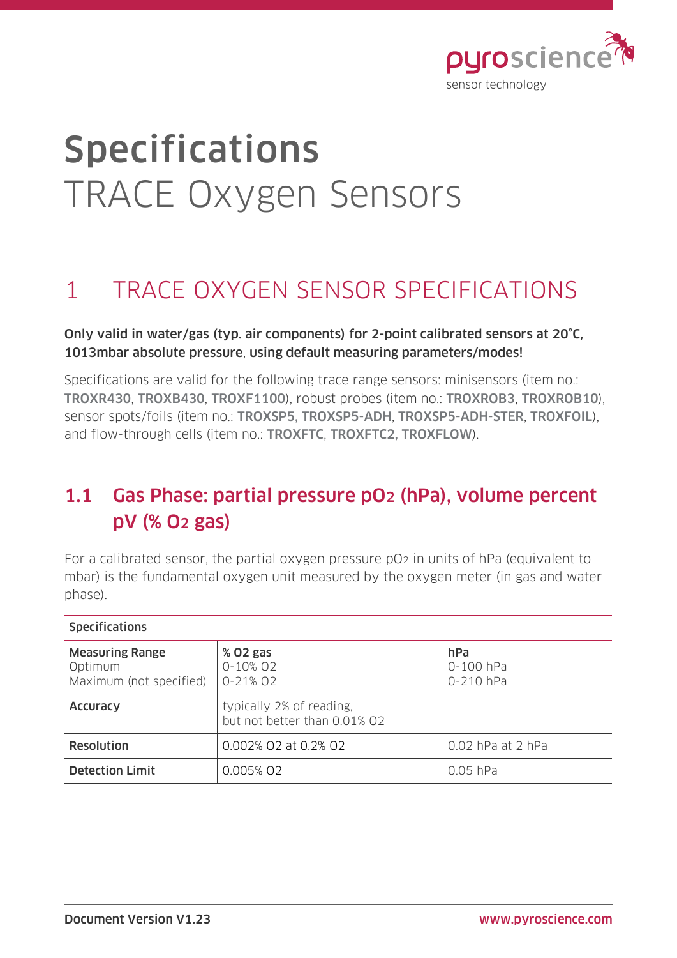

# Specifications TRACE Oxygen Sensors

## 1 TRACE OXYGEN SENSOR SPECIFICATIONS

#### Only valid in water/gas (typ. air components) for 2-point calibrated sensors at 20°C, 1013mbar absolute pressure, using default measuring parameters/modes!

Specifications are valid for the following trace range sensors: minisensors (item no.: TROXR430, TROXB430, TROXF1100), robust probes (item no.: TROXROB3, TROXROB10), sensor spots/foils (item no.: TROXSP5, TROXSP5-ADH, TROXSP5-ADH-STER, TROXFOIL), and flow-through cells (item no.: TROXFTC, TROXFTC2, TROXFLOW).

### 1.1 Gas Phase: partial pressure pO2 (hPa), volume percent pV (% O2 gas)

For a calibrated sensor, the partial oxygen pressure pO2 in units of hPa (equivalent to mbar) is the fundamental oxygen unit measured by the oxygen meter (in gas and water phase).

| <b>Specifications</b>                                        |                                                          |                               |
|--------------------------------------------------------------|----------------------------------------------------------|-------------------------------|
| <b>Measuring Range</b><br>Optimum<br>Maximum (not specified) | % 02 gas<br>0-10% 02<br>$0 - 21\%$ 02                    | hPa<br>0-100 hPa<br>0-210 hPa |
| Accuracy                                                     | typically 2% of reading,<br>but not better than 0.01% O2 |                               |
| Resolution                                                   | 0.002% 02 at 0.2% 02                                     | 0.02 hPa at 2 hPa             |
| <b>Detection Limit</b>                                       | 0.005% 02                                                | $0.05$ hPa                    |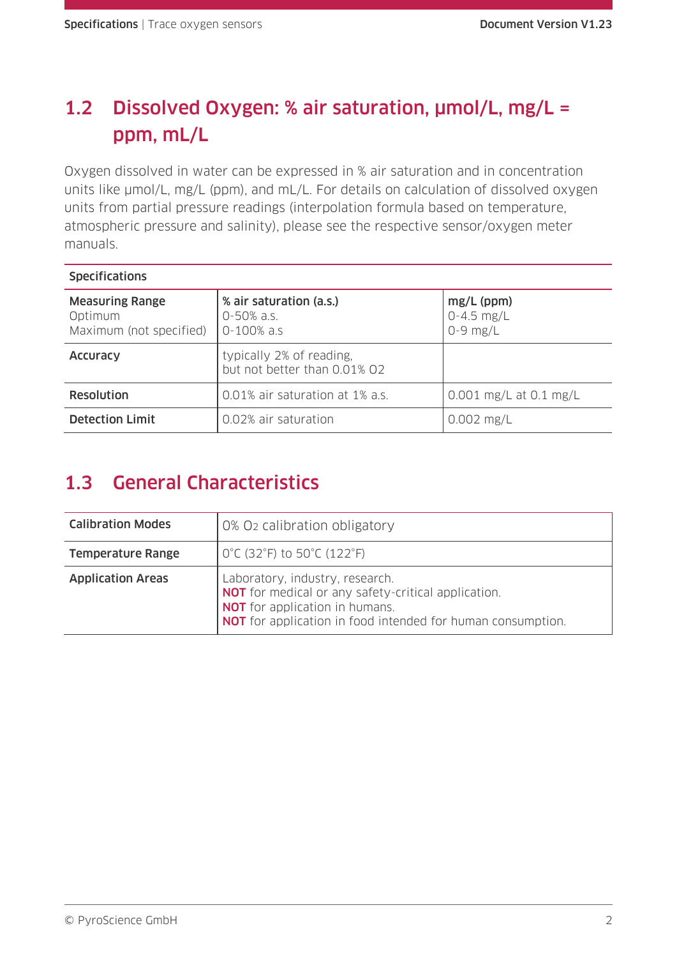## 1.2 Dissolved Oxygen: % air saturation, µmol/L, mg/L = ppm, mL/L

Oxygen dissolved in water can be expressed in % air saturation and in concentration units like  $\mu$ mol/L, mg/L (ppm), and mL/L. For details on calculation of dissolved oxygen units from partial pressure readings (interpolation formula based on temperature, atmospheric pressure and salinity), please see the respective sensor/oxygen meter manuals.

| <b>Specifications</b>                                        |                                                               |                                              |
|--------------------------------------------------------------|---------------------------------------------------------------|----------------------------------------------|
| <b>Measuring Range</b><br>Optimum<br>Maximum (not specified) | % air saturation (a.s.)<br>$0 - 50\%$ a.s.<br>$0 - 100\%$ a.s | $mg/L$ (ppm)<br>$0 - 4.5$ mg/L<br>$0-9$ mg/L |
| Accuracy                                                     | typically 2% of reading,<br>but not better than 0.01% 02      |                                              |
| Resolution                                                   | 0.01% air saturation at 1% a.s.                               | $0.001$ mg/L at $0.1$ mg/L                   |
| <b>Detection Limit</b>                                       | 0.02% air saturation                                          | $0.002$ mg/L                                 |

## 1.3 General Characteristics

| <b>Calibration Modes</b> | 0% O <sub>2</sub> calibration obligatory                                                                                                                                                                     |
|--------------------------|--------------------------------------------------------------------------------------------------------------------------------------------------------------------------------------------------------------|
| <b>Temperature Range</b> | $0^{\circ}$ C (32 $^{\circ}$ F) to 50 $^{\circ}$ C (122 $^{\circ}$ F)                                                                                                                                        |
| <b>Application Areas</b> | Laboratory, industry, research.<br><b>NOT</b> for medical or any safety-critical application.<br><b>NOT</b> for application in humans.<br><b>NOT</b> for application in food intended for human consumption. |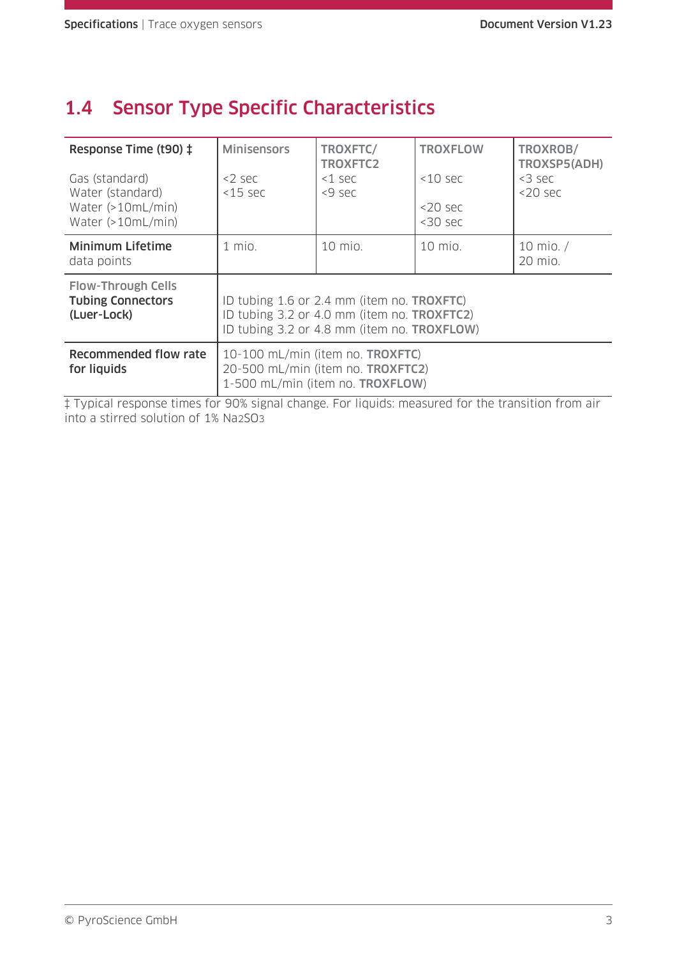#### 1.4 Sensor Type Specific Characteristics

| Response Time (t90) ‡<br>Gas (standard)<br>Water (standard)<br>Water $(>10mL/min)$<br>Water (>10mL/min) | <b>Minisensors</b><br>$<$ 2 sec<br>$<$ 15 sec                                                                                                                 | TROXFTC/<br>TROXFTC2<br>$<$ 1 sec<br><9 sec | <b>TROXFLOW</b><br>$<10$ sec<br>$<$ 20 sec<br>$<$ 30 sec | TROXROB/<br>TROXSP5(ADH)<br>$<$ 3 sec<br>$<$ 20 sec |
|---------------------------------------------------------------------------------------------------------|---------------------------------------------------------------------------------------------------------------------------------------------------------------|---------------------------------------------|----------------------------------------------------------|-----------------------------------------------------|
| <b>Minimum Lifetime</b><br>data points                                                                  | $1$ mio.                                                                                                                                                      | 10 mio.                                     | 10 mio.                                                  | 10 mio. $/$<br>20 mio.                              |
| <b>Flow-Through Cells</b><br><b>Tubing Connectors</b><br>(Luer-Lock)                                    | ID tubing 1.6 or 2.4 mm (item no. <b>TROXFTC)</b><br>ID tubing 3.2 or 4.0 mm (item no. <b>TROXFTC2)</b><br>ID tubing 3.2 or 4.8 mm (item no. <b>TROXFLOW)</b> |                                             |                                                          |                                                     |
| Recommended flow rate<br>for liquids                                                                    | 10-100 mL/min (item no. <b>TROXFTC)</b><br>20-500 mL/min (item no. <b>TROXFTC2)</b><br>1-500 mL/min (item no. <b>TROXFLOW</b> )                               |                                             |                                                          |                                                     |

‡ Typical response times for 90% signal change. For liquids: measured for the transition from air into a stirred solution of 1% Na2SO3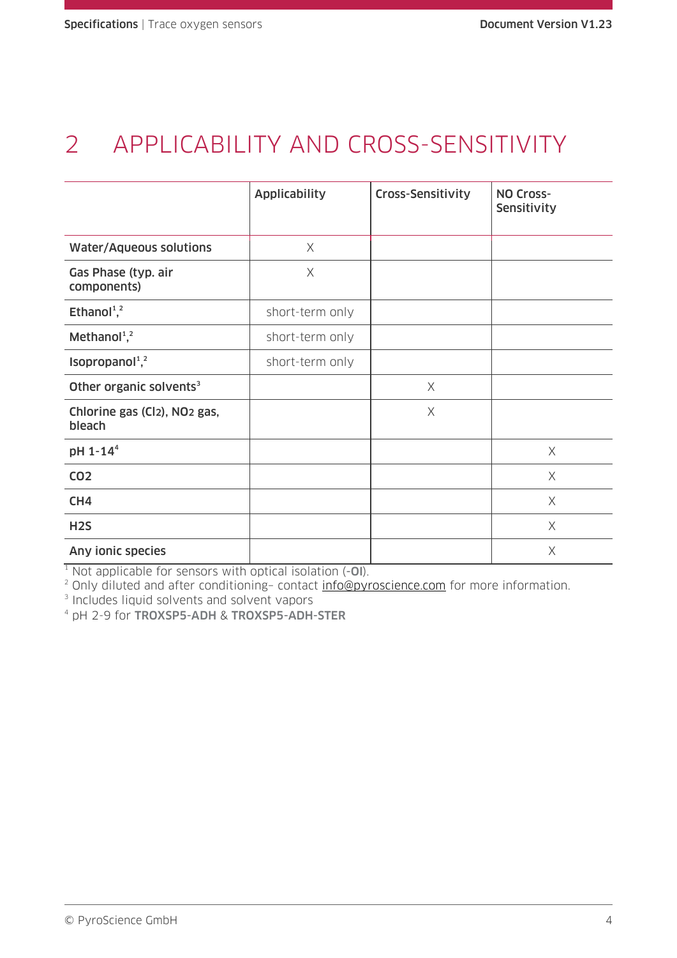# 2 APPLICABILITY AND CROSS-SENSITIVITY

|                                                    | <b>Applicability</b> | Cross-Sensitivity | NO Cross-<br>Sensitivity |
|----------------------------------------------------|----------------------|-------------------|--------------------------|
| <b>Water/Aqueous solutions</b>                     | $\times$             |                   |                          |
| Gas Phase (typ. air<br>components)                 | $\times$             |                   |                          |
| Ethanol <sup>1</sup> , <sup>2</sup>                | short-term only      |                   |                          |
| Methanol <sup>1,2</sup>                            | short-term only      |                   |                          |
| Isopropanol <sup>1,2</sup>                         | short-term only      |                   |                          |
| Other organic solvents <sup>3</sup>                |                      | $\times$          |                          |
| Chlorine gas (Cl2), NO <sub>2</sub> gas,<br>bleach |                      | $\times$          |                          |
| pH 1-14 <sup>4</sup>                               |                      |                   | $\times$                 |
| <b>CO2</b>                                         |                      |                   | X                        |
| CH <sub>4</sub>                                    |                      |                   | $\times$                 |
| H <sub>2</sub> S                                   |                      |                   | $\times$                 |
| Any ionic species                                  |                      |                   | $\times$                 |

 $1$  Not applicable for sensors with optical isolation  $(-0I)$ .

<sup>2</sup> Only diluted and after conditioning- contact [info@pyroscience.com](mailto:info@pyroscience.com) for more information.

3 Includes liquid solvents and solvent vapors

<sup>4</sup> pH 2-9 for TROXSP5-ADH & TROXSP5-ADH-STER